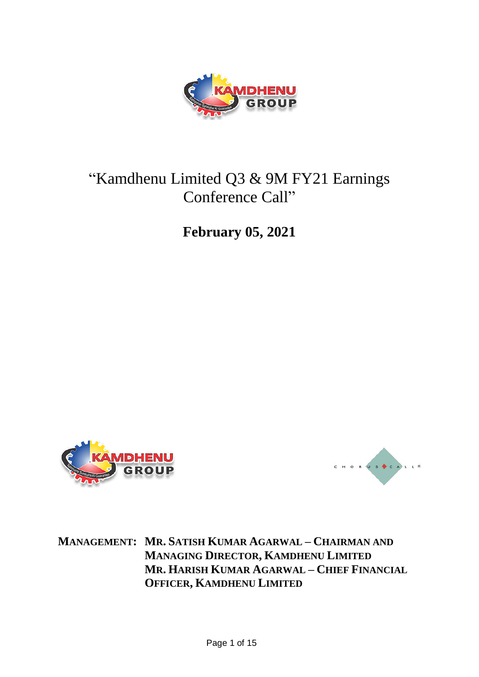

# "Kamdhenu Limited Q3 & 9M FY21 Earnings Conference Call"

**February 05, 2021**





**MANAGEMENT: MR. SATISH KUMAR AGARWAL – CHAIRMAN AND MANAGING DIRECTOR, KAMDHENU LIMITED MR. HARISH KUMAR AGARWAL – CHIEF FINANCIAL OFFICER, KAMDHENU LIMITED**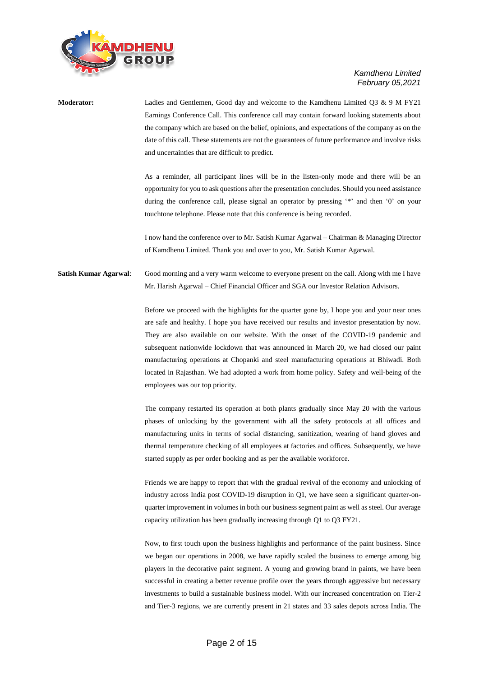

**Moderator:** Ladies and Gentlemen, Good day and welcome to the Kamdhenu Limited Q3 & 9 M FY21 Earnings Conference Call. This conference call may contain forward looking statements about the company which are based on the belief, opinions, and expectations of the company as on the date of this call. These statements are not the guarantees of future performance and involve risks and uncertainties that are difficult to predict. As a reminder, all participant lines will be in the listen-only mode and there will be an opportunity for you to ask questions after the presentation concludes. Should you need assistance during the conference call, please signal an operator by pressing '\*' and then '0' on your touchtone telephone. Please note that this conference is being recorded. I now hand the conference over to Mr. Satish Kumar Agarwal – Chairman & Managing Director of Kamdhenu Limited. Thank you and over to you, Mr. Satish Kumar Agarwal. **Satish Kumar Agarwal**: Good morning and a very warm welcome to everyone present on the call. Along with me I have Mr. Harish Agarwal – Chief Financial Officer and SGA our Investor Relation Advisors. Before we proceed with the highlights for the quarter gone by, I hope you and your near ones are safe and healthy. I hope you have received our results and investor presentation by now. They are also available on our website. With the onset of the COVID-19 pandemic and subsequent nationwide lockdown that was announced in March 20, we had closed our paint manufacturing operations at Chopanki and steel manufacturing operations at Bhiwadi. Both located in Rajasthan. We had adopted a work from home policy. Safety and well-being of the employees was our top priority.

> The company restarted its operation at both plants gradually since May 20 with the various phases of unlocking by the government with all the safety protocols at all offices and manufacturing units in terms of social distancing, sanitization, wearing of hand gloves and thermal temperature checking of all employees at factories and offices. Subsequently, we have started supply as per order booking and as per the available workforce.

> Friends we are happy to report that with the gradual revival of the economy and unlocking of industry across India post COVID-19 disruption in Q1, we have seen a significant quarter-onquarter improvement in volumes in both our business segment paint as well as steel. Our average capacity utilization has been gradually increasing through Q1 to Q3 FY21.

> Now, to first touch upon the business highlights and performance of the paint business. Since we began our operations in 2008, we have rapidly scaled the business to emerge among big players in the decorative paint segment. A young and growing brand in paints, we have been successful in creating a better revenue profile over the years through aggressive but necessary investments to build a sustainable business model. With our increased concentration on Tier-2 and Tier-3 regions, we are currently present in 21 states and 33 sales depots across India. The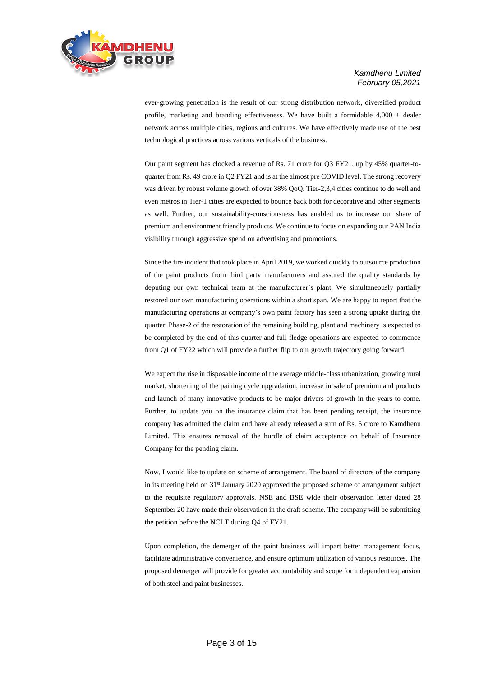

ever-growing penetration is the result of our strong distribution network, diversified product profile, marketing and branding effectiveness. We have built a formidable 4,000 + dealer network across multiple cities, regions and cultures. We have effectively made use of the best technological practices across various verticals of the business.

Our paint segment has clocked a revenue of Rs. 71 crore for Q3 FY21, up by 45% quarter-toquarter from Rs. 49 crore in Q2 FY21 and is at the almost pre COVID level. The strong recovery was driven by robust volume growth of over 38% QoQ. Tier-2,3,4 cities continue to do well and even metros in Tier-1 cities are expected to bounce back both for decorative and other segments as well. Further, our sustainability-consciousness has enabled us to increase our share of premium and environment friendly products. We continue to focus on expanding our PAN India visibility through aggressive spend on advertising and promotions.

Since the fire incident that took place in April 2019, we worked quickly to outsource production of the paint products from third party manufacturers and assured the quality standards by deputing our own technical team at the manufacturer's plant. We simultaneously partially restored our own manufacturing operations within a short span. We are happy to report that the manufacturing operations at company's own paint factory has seen a strong uptake during the quarter. Phase-2 of the restoration of the remaining building, plant and machinery is expected to be completed by the end of this quarter and full fledge operations are expected to commence from Q1 of FY22 which will provide a further flip to our growth trajectory going forward.

We expect the rise in disposable income of the average middle-class urbanization, growing rural market, shortening of the paining cycle upgradation, increase in sale of premium and products and launch of many innovative products to be major drivers of growth in the years to come. Further, to update you on the insurance claim that has been pending receipt, the insurance company has admitted the claim and have already released a sum of Rs. 5 crore to Kamdhenu Limited. This ensures removal of the hurdle of claim acceptance on behalf of Insurance Company for the pending claim.

Now, I would like to update on scheme of arrangement. The board of directors of the company in its meeting held on 31<sup>st</sup> January 2020 approved the proposed scheme of arrangement subject to the requisite regulatory approvals. NSE and BSE wide their observation letter dated 28 September 20 have made their observation in the draft scheme. The company will be submitting the petition before the NCLT during Q4 of FY21.

Upon completion, the demerger of the paint business will impart better management focus, facilitate administrative convenience, and ensure optimum utilization of various resources. The proposed demerger will provide for greater accountability and scope for independent expansion of both steel and paint businesses.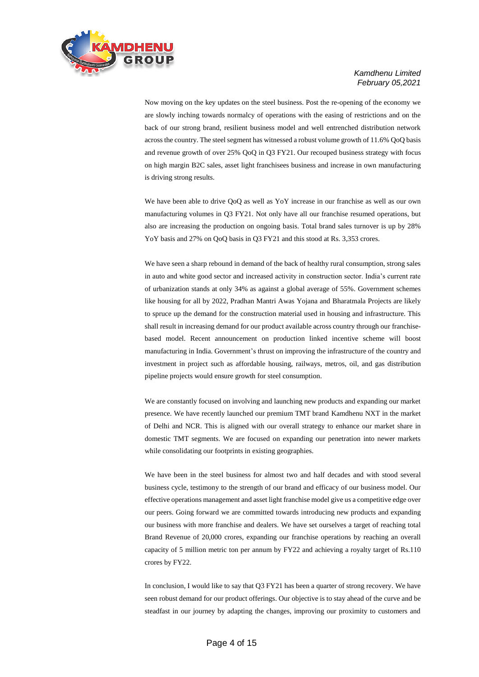

Now moving on the key updates on the steel business. Post the re-opening of the economy we are slowly inching towards normalcy of operations with the easing of restrictions and on the back of our strong brand, resilient business model and well entrenched distribution network across the country. The steel segment has witnessed a robust volume growth of 11.6% QoQ basis and revenue growth of over 25% QoQ in Q3 FY21. Our recouped business strategy with focus on high margin B2C sales, asset light franchisees business and increase in own manufacturing is driving strong results.

We have been able to drive QoQ as well as YoY increase in our franchise as well as our own manufacturing volumes in Q3 FY21. Not only have all our franchise resumed operations, but also are increasing the production on ongoing basis. Total brand sales turnover is up by 28% YoY basis and 27% on QoQ basis in Q3 FY21 and this stood at Rs. 3,353 crores.

We have seen a sharp rebound in demand of the back of healthy rural consumption, strong sales in auto and white good sector and increased activity in construction sector. India's current rate of urbanization stands at only 34% as against a global average of 55%. Government schemes like housing for all by 2022, Pradhan Mantri Awas Yojana and Bharatmala Projects are likely to spruce up the demand for the construction material used in housing and infrastructure. This shall result in increasing demand for our product available across country through our franchisebased model. Recent announcement on production linked incentive scheme will boost manufacturing in India. Government's thrust on improving the infrastructure of the country and investment in project such as affordable housing, railways, metros, oil, and gas distribution pipeline projects would ensure growth for steel consumption.

We are constantly focused on involving and launching new products and expanding our market presence. We have recently launched our premium TMT brand Kamdhenu NXT in the market of Delhi and NCR. This is aligned with our overall strategy to enhance our market share in domestic TMT segments. We are focused on expanding our penetration into newer markets while consolidating our footprints in existing geographies.

We have been in the steel business for almost two and half decades and with stood several business cycle, testimony to the strength of our brand and efficacy of our business model. Our effective operations management and asset light franchise model give us a competitive edge over our peers. Going forward we are committed towards introducing new products and expanding our business with more franchise and dealers. We have set ourselves a target of reaching total Brand Revenue of 20,000 crores, expanding our franchise operations by reaching an overall capacity of 5 million metric ton per annum by FY22 and achieving a royalty target of Rs.110 crores by FY22.

In conclusion, I would like to say that Q3 FY21 has been a quarter of strong recovery. We have seen robust demand for our product offerings. Our objective is to stay ahead of the curve and be steadfast in our journey by adapting the changes, improving our proximity to customers and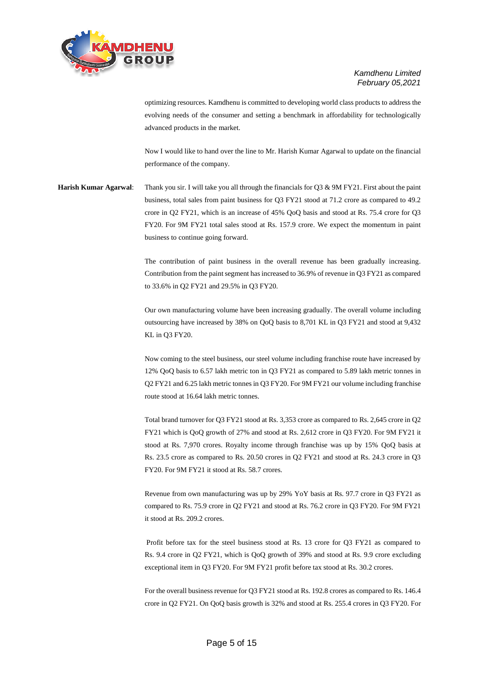

optimizing resources. Kamdhenu is committed to developing world class products to address the evolving needs of the consumer and setting a benchmark in affordability for technologically advanced products in the market.

Now I would like to hand over the line to Mr. Harish Kumar Agarwal to update on the financial performance of the company.

**Harish Kumar Agarwal**: Thank you sir. I will take you all through the financials for Q3 & 9M FY21. First about the paint business, total sales from paint business for Q3 FY21 stood at 71.2 crore as compared to 49.2 crore in Q2 FY21, which is an increase of 45% QoQ basis and stood at Rs. 75.4 crore for Q3 FY20. For 9M FY21 total sales stood at Rs. 157.9 crore. We expect the momentum in paint business to continue going forward.

> The contribution of paint business in the overall revenue has been gradually increasing. Contribution from the paint segment has increased to 36.9% of revenue in Q3 FY21 as compared to 33.6% in Q2 FY21 and 29.5% in Q3 FY20.

> Our own manufacturing volume have been increasing gradually. The overall volume including outsourcing have increased by 38% on QoQ basis to 8,701 KL in Q3 FY21 and stood at 9,432 KL in Q3 FY20.

> Now coming to the steel business, our steel volume including franchise route have increased by 12% QoQ basis to 6.57 lakh metric ton in Q3 FY21 as compared to 5.89 lakh metric tonnes in Q2 FY21 and 6.25 lakh metric tonnes in Q3 FY20. For 9M FY21 our volume including franchise route stood at 16.64 lakh metric tonnes.

> Total brand turnover for Q3 FY21 stood at Rs. 3,353 crore as compared to Rs. 2,645 crore in Q2 FY21 which is QoQ growth of 27% and stood at Rs. 2,612 crore in Q3 FY20. For 9M FY21 it stood at Rs. 7,970 crores. Royalty income through franchise was up by 15% QoQ basis at Rs. 23.5 crore as compared to Rs. 20.50 crores in Q2 FY21 and stood at Rs. 24.3 crore in Q3 FY20. For 9M FY21 it stood at Rs. 58.7 crores.

> Revenue from own manufacturing was up by 29% YoY basis at Rs. 97.7 crore in Q3 FY21 as compared to Rs. 75.9 crore in Q2 FY21 and stood at Rs. 76.2 crore in Q3 FY20. For 9M FY21 it stood at Rs. 209.2 crores.

> Profit before tax for the steel business stood at Rs. 13 crore for Q3 FY21 as compared to Rs. 9.4 crore in Q2 FY21, which is QoQ growth of 39% and stood at Rs. 9.9 crore excluding exceptional item in Q3 FY20. For 9M FY21 profit before tax stood at Rs. 30.2 crores.

> For the overall business revenue for Q3 FY21 stood at Rs. 192.8 crores as compared to Rs. 146.4 crore in Q2 FY21. On QoQ basis growth is 32% and stood at Rs. 255.4 crores in Q3 FY20. For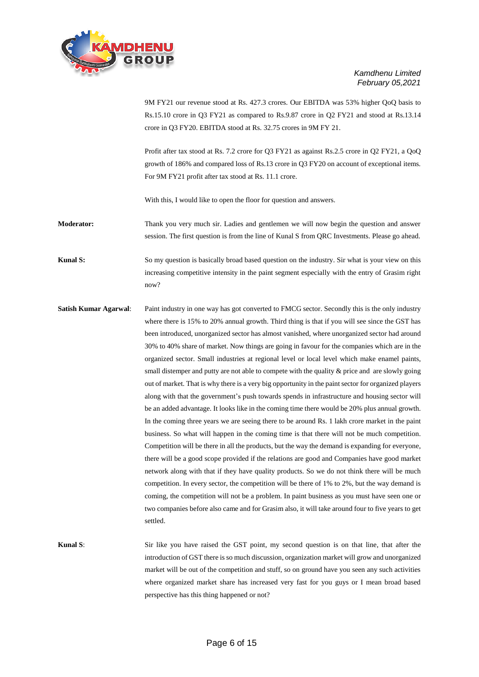

9M FY21 our revenue stood at Rs. 427.3 crores. Our EBITDA was 53% higher QoQ basis to Rs.15.10 crore in Q3 FY21 as compared to Rs.9.87 crore in Q2 FY21 and stood at Rs.13.14 crore in Q3 FY20. EBITDA stood at Rs. 32.75 crores in 9M FY 21.

Profit after tax stood at Rs. 7.2 crore for Q3 FY21 as against Rs.2.5 crore in Q2 FY21, a QoQ growth of 186% and compared loss of Rs.13 crore in Q3 FY20 on account of exceptional items. For 9M FY21 profit after tax stood at Rs. 11.1 crore.

With this, I would like to open the floor for question and answers.

**Moderator:** Thank you very much sir. Ladies and gentlemen we will now begin the question and answer session. The first question is from the line of Kunal S from QRC Investments. Please go ahead.

**Kunal S:** So my question is basically broad based question on the industry. Sir what is your view on this increasing competitive intensity in the paint segment especially with the entry of Grasim right now?

**Satish Kumar Agarwal:** Paint industry in one way has got converted to FMCG sector. Secondly this is the only industry where there is 15% to 20% annual growth. Third thing is that if you will see since the GST has been introduced, unorganized sector has almost vanished, where unorganized sector had around 30% to 40% share of market. Now things are going in favour for the companies which are in the organized sector. Small industries at regional level or local level which make enamel paints, small distemper and putty are not able to compete with the quality  $\&$  price and are slowly going out of market. That is why there is a very big opportunity in the paint sector for organized players along with that the government's push towards spends in infrastructure and housing sector will be an added advantage. It looks like in the coming time there would be 20% plus annual growth. In the coming three years we are seeing there to be around Rs. 1 lakh crore market in the paint business. So what will happen in the coming time is that there will not be much competition. Competition will be there in all the products, but the way the demand is expanding for everyone, there will be a good scope provided if the relations are good and Companies have good market network along with that if they have quality products. So we do not think there will be much competition. In every sector, the competition will be there of 1% to 2%, but the way demand is coming, the competition will not be a problem. In paint business as you must have seen one or two companies before also came and for Grasim also, it will take around four to five years to get settled.

**Kunal S**: Sir like you have raised the GST point, my second question is on that line, that after the introduction of GST there is so much discussion, organization market will grow and unorganized market will be out of the competition and stuff, so on ground have you seen any such activities where organized market share has increased very fast for you guys or I mean broad based perspective has this thing happened or not?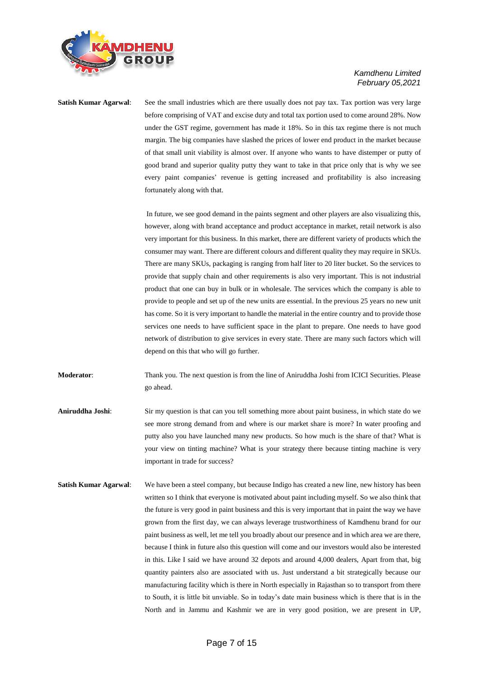

**Satish Kumar Agarwal:** See the small industries which are there usually does not pay tax. Tax portion was very large before comprising of VAT and excise duty and total tax portion used to come around 28%. Now under the GST regime, government has made it 18%. So in this tax regime there is not much margin. The big companies have slashed the prices of lower end product in the market because of that small unit viability is almost over. If anyone who wants to have distemper or putty of good brand and superior quality putty they want to take in that price only that is why we see every paint companies' revenue is getting increased and profitability is also increasing fortunately along with that.

> In future, we see good demand in the paints segment and other players are also visualizing this, however, along with brand acceptance and product acceptance in market, retail network is also very important for this business. In this market, there are different variety of products which the consumer may want. There are different colours and different quality they may require in SKUs. There are many SKUs, packaging is ranging from half liter to 20 liter bucket. So the services to provide that supply chain and other requirements is also very important. This is not industrial product that one can buy in bulk or in wholesale. The services which the company is able to provide to people and set up of the new units are essential. In the previous 25 years no new unit has come. So it is very important to handle the material in the entire country and to provide those services one needs to have sufficient space in the plant to prepare. One needs to have good network of distribution to give services in every state. There are many such factors which will depend on this that who will go further.

**Moderator:** Thank you. The next question is from the line of Aniruddha Joshi from ICICI Securities. Please go ahead.

**Aniruddha Joshi**: Sir my question is that can you tell something more about paint business, in which state do we see more strong demand from and where is our market share is more? In water proofing and putty also you have launched many new products. So how much is the share of that? What is your view on tinting machine? What is your strategy there because tinting machine is very important in trade for success?

**Satish Kumar Agarwal:** We have been a steel company, but because Indigo has created a new line, new history has been written so I think that everyone is motivated about paint including myself. So we also think that the future is very good in paint business and this is very important that in paint the way we have grown from the first day, we can always leverage trustworthiness of Kamdhenu brand for our paint business as well, let me tell you broadly about our presence and in which area we are there, because I think in future also this question will come and our investors would also be interested in this. Like I said we have around 32 depots and around 4,000 dealers, Apart from that, big quantity painters also are associated with us. Just understand a bit strategically because our manufacturing facility which is there in North especially in Rajasthan so to transport from there to South, it is little bit unviable. So in today's date main business which is there that is in the North and in Jammu and Kashmir we are in very good position, we are present in UP,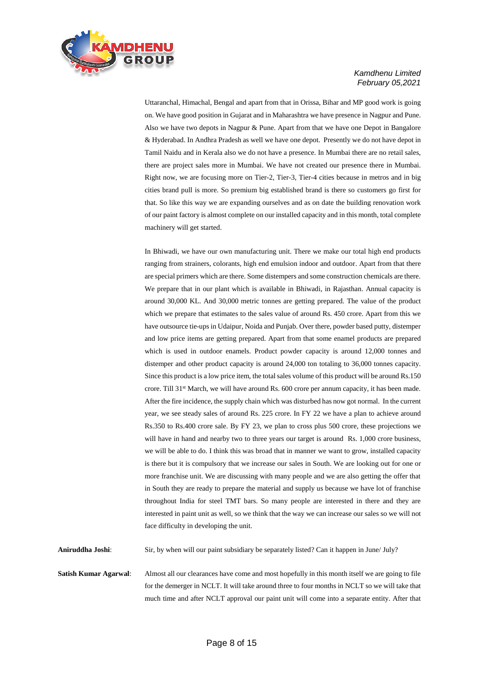

Uttaranchal, Himachal, Bengal and apart from that in Orissa, Bihar and MP good work is going on. We have good position in Gujarat and in Maharashtra we have presence in Nagpur and Pune. Also we have two depots in Nagpur & Pune. Apart from that we have one Depot in Bangalore & Hyderabad. In Andhra Pradesh as well we have one depot. Presently we do not have depot in Tamil Naidu and in Kerala also we do not have a presence. In Mumbai there are no retail sales, there are project sales more in Mumbai. We have not created our presence there in Mumbai. Right now, we are focusing more on Tier-2, Tier-3, Tier-4 cities because in metros and in big cities brand pull is more. So premium big established brand is there so customers go first for that. So like this way we are expanding ourselves and as on date the building renovation work of our paint factory is almost complete on our installed capacity and in this month, total complete machinery will get started.

In Bhiwadi, we have our own manufacturing unit. There we make our total high end products ranging from strainers, colorants, high end emulsion indoor and outdoor. Apart from that there are special primers which are there. Some distempers and some construction chemicals are there. We prepare that in our plant which is available in Bhiwadi, in Rajasthan. Annual capacity is around 30,000 KL. And 30,000 metric tonnes are getting prepared. The value of the product which we prepare that estimates to the sales value of around Rs. 450 crore. Apart from this we have outsource tie-ups in Udaipur, Noida and Punjab. Over there, powder based putty, distemper and low price items are getting prepared. Apart from that some enamel products are prepared which is used in outdoor enamels. Product powder capacity is around 12,000 tonnes and distemper and other product capacity is around 24,000 ton totaling to 36,000 tonnes capacity. Since this product is a low price item, the total sales volume of this product will be around Rs.150 crore. Till 31<sup>st</sup> March, we will have around Rs. 600 crore per annum capacity, it has been made. After the fire incidence, the supply chain which was disturbed has now got normal. In the current year, we see steady sales of around Rs. 225 crore. In FY 22 we have a plan to achieve around Rs.350 to Rs.400 crore sale. By FY 23, we plan to cross plus 500 crore, these projections we will have in hand and nearby two to three years our target is around Rs. 1,000 crore business, we will be able to do. I think this was broad that in manner we want to grow, installed capacity is there but it is compulsory that we increase our sales in South. We are looking out for one or more franchise unit. We are discussing with many people and we are also getting the offer that in South they are ready to prepare the material and supply us because we have lot of franchise throughout India for steel TMT bars. So many people are interested in there and they are interested in paint unit as well, so we think that the way we can increase our sales so we will not face difficulty in developing the unit.

**Aniruddha Joshi**: Sir, by when will our paint subsidiary be separately listed? Can it happen in June/ July?

**Satish Kumar Agarwal:** Almost all our clearances have come and most hopefully in this month itself we are going to file for the demerger in NCLT. It will take around three to four months in NCLT so we will take that much time and after NCLT approval our paint unit will come into a separate entity. After that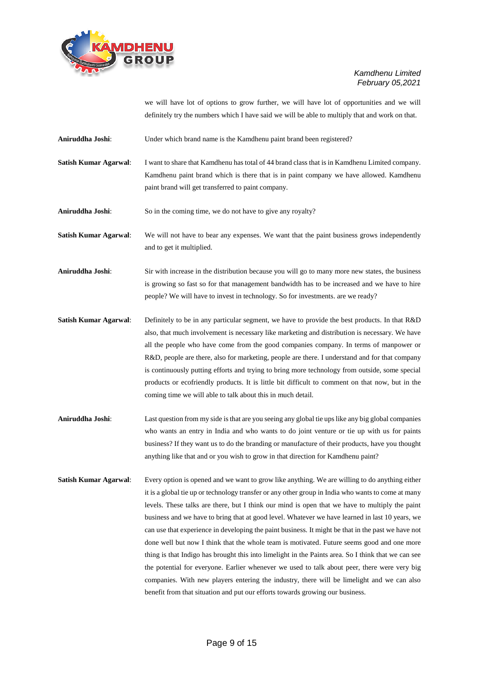

we will have lot of options to grow further, we will have lot of opportunities and we will definitely try the numbers which I have said we will be able to multiply that and work on that.

- **Aniruddha Joshi**: Under which brand name is the Kamdhenu paint brand been registered?
- **Satish Kumar Agarwal:** I want to share that Kamdhenu has total of 44 brand class that is in Kamdhenu Limited company. Kamdhenu paint brand which is there that is in paint company we have allowed. Kamdhenu paint brand will get transferred to paint company.

**Aniruddha Joshi**: So in the coming time, we do not have to give any royalty?

**Satish Kumar Agarwal:** We will not have to bear any expenses. We want that the paint business grows independently and to get it multiplied.

**Aniruddha Joshi**: Sir with increase in the distribution because you will go to many more new states, the business is growing so fast so for that management bandwidth has to be increased and we have to hire people? We will have to invest in technology. So for investments. are we ready?

- **Satish Kumar Agarwal:** Definitely to be in any particular segment, we have to provide the best products. In that R&D also, that much involvement is necessary like marketing and distribution is necessary. We have all the people who have come from the good companies company. In terms of manpower or R&D, people are there, also for marketing, people are there. I understand and for that company is continuously putting efforts and trying to bring more technology from outside, some special products or ecofriendly products. It is little bit difficult to comment on that now, but in the coming time we will able to talk about this in much detail.
- **Aniruddha Joshi**: Last question from my side is that are you seeing any global tie ups like any big global companies who wants an entry in India and who wants to do joint venture or tie up with us for paints business? If they want us to do the branding or manufacture of their products, have you thought anything like that and or you wish to grow in that direction for Kamdhenu paint?
- **Satish Kumar Agarwal:** Every option is opened and we want to grow like anything. We are willing to do anything either it is a global tie up or technology transfer or any other group in India who wants to come at many levels. These talks are there, but I think our mind is open that we have to multiply the paint business and we have to bring that at good level. Whatever we have learned in last 10 years, we can use that experience in developing the paint business. It might be that in the past we have not done well but now I think that the whole team is motivated. Future seems good and one more thing is that Indigo has brought this into limelight in the Paints area. So I think that we can see the potential for everyone. Earlier whenever we used to talk about peer, there were very big companies. With new players entering the industry, there will be limelight and we can also benefit from that situation and put our efforts towards growing our business.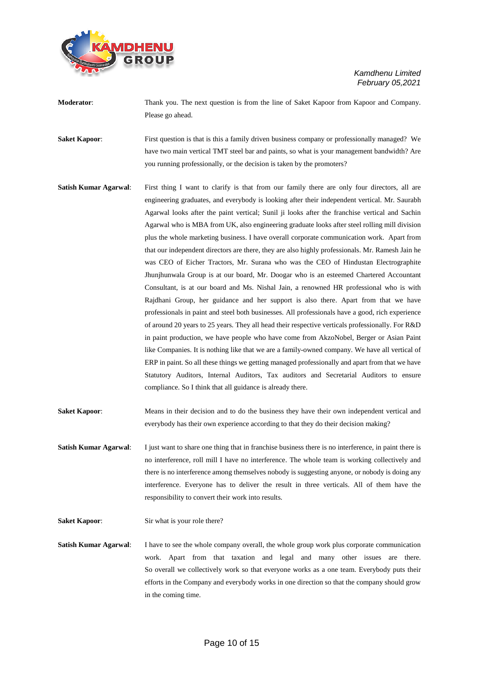

- **Moderator**: Thank you. The next question is from the line of Saket Kapoor from Kapoor and Company. Please go ahead.
- **Saket Kapoor:** First question is that is this a family driven business company or professionally managed? We have two main vertical TMT steel bar and paints, so what is your management bandwidth? Are you running professionally, or the decision is taken by the promoters?
- **Satish Kumar Agarwal**: First thing I want to clarify is that from our family there are only four directors, all are engineering graduates, and everybody is looking after their independent vertical. Mr. Saurabh Agarwal looks after the paint vertical; Sunil ji looks after the franchise vertical and Sachin Agarwal who is MBA from UK, also engineering graduate looks after steel rolling mill division plus the whole marketing business. I have overall corporate communication work. Apart from that our independent directors are there, they are also highly professionals. Mr. Ramesh Jain he was CEO of Eicher Tractors, Mr. Surana who was the CEO of Hindustan Electrographite Jhunjhunwala Group is at our board, Mr. Doogar who is an esteemed Chartered Accountant Consultant, is at our board and Ms. Nishal Jain, a renowned HR professional who is with Rajdhani Group, her guidance and her support is also there. Apart from that we have professionals in paint and steel both businesses. All professionals have a good, rich experience of around 20 years to 25 years. They all head their respective verticals professionally. For R&D in paint production, we have people who have come from AkzoNobel, Berger or Asian Paint like Companies. It is nothing like that we are a family-owned company. We have all vertical of ERP in paint. So all these things we getting managed professionally and apart from that we have Statutory Auditors, Internal Auditors, Tax auditors and Secretarial Auditors to ensure compliance. So I think that all guidance is already there.
- **Saket Kapoor:** Means in their decision and to do the business they have their own independent vertical and everybody has their own experience according to that they do their decision making?
- **Satish Kumar Agarwal:** I just want to share one thing that in franchise business there is no interference, in paint there is no interference, roll mill I have no interference. The whole team is working collectively and there is no interference among themselves nobody is suggesting anyone, or nobody is doing any interference. Everyone has to deliver the result in three verticals. All of them have the responsibility to convert their work into results.

**Saket Kapoor:** Sir what is your role there?

**Satish Kumar Agarwal:** I have to see the whole company overall, the whole group work plus corporate communication work. Apart from that taxation and legal and many other issues are there. So overall we collectively work so that everyone works as a one team. Everybody puts their efforts in the Company and everybody works in one direction so that the company should grow in the coming time.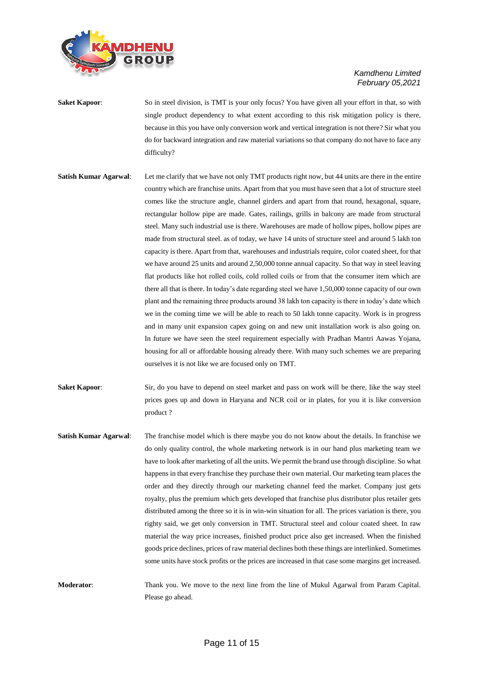

- **Saket Kapoor:** So in steel division, is TMT is your only focus? You have given all your effort in that, so with single product dependency to what extent according to this risk mitigation policy is there, because in this you have only conversion work and vertical integration is not there? Sir what you do for backward integration and raw material variations so that company do not have to face any difficulty?
- **Satish Kumar Agarwal:** Let me clarify that we have not only TMT products right now, but 44 units are there in the entire country which are franchise units. Apart from that you must have seen that a lot of structure steel comes like the structure angle, channel girders and apart from that round, hexagonal, square, rectangular hollow pipe are made. Gates, railings, grills in balcony are made from structural steel. Many such industrial use is there. Warehouses are made of hollow pipes, hollow pipes are made from structural steel. as of today, we have 14 units of structure steel and around 5 lakh ton capacity is there. Apart from that, warehouses and industrials require, color coated sheet, for that we have around 25 units and around 2,50,000 tonne annual capacity. So that way in steel leaving flat products like hot rolled coils, cold rolled coils or from that the consumer item which are there all that is there. In today's date regarding steel we have 1,50,000 tonne capacity of our own plant and the remaining three products around 38 lakh ton capacity is there in today's date which we in the coming time we will be able to reach to 50 lakh tonne capacity. Work is in progress and in many unit expansion capex going on and new unit installation work is also going on. In future we have seen the steel requirement especially with Pradhan Mantri Aawas Yojana, housing for all or affordable housing already there. With many such schemes we are preparing ourselves it is not like we are focused only on TMT.
- **Saket Kapoor:** Sir, do you have to depend on steel market and pass on work will be there, like the way steel prices goes up and down in Haryana and NCR coil or in plates, for you it is like conversion product ?
- **Satish Kumar Agarwal**: The franchise model which is there maybe you do not know about the details. In franchise we do only quality control, the whole marketing network is in our hand plus marketing team we have to look after marketing of all the units. We permit the brand use through discipline. So what happens in that every franchise they purchase their own material. Our marketing team places the order and they directly through our marketing channel feed the market. Company just gets royalty, plus the premium which gets developed that franchise plus distributor plus retailer gets distributed among the three so it is in win-win situation for all. The prices variation is there, you righty said, we get only conversion in TMT. Structural steel and colour coated sheet. In raw material the way price increases, finished product price also get increased. When the finished goods price declines, prices of raw material declines both these things are interlinked. Sometimes some units have stock profits or the prices are increased in that case some margins get increased.

**Moderator**: Thank you. We move to the next line from the line of Mukul Agarwal from Param Capital. Please go ahead.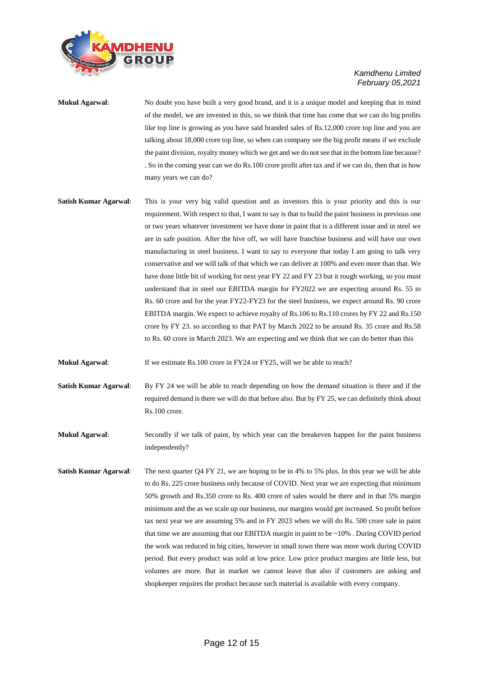

- **Mukul Agarwal**: No doubt you have built a very good brand, and it is a unique model and keeping that in mind of the model, we are invested in this, so we think that time has come that we can do big profits like top line is growing as you have said branded sales of Rs.12,000 crore top line and you are talking about 18,000 crore top line, so when can company see the big profit means if we exclude the paint division, royalty money which we get and we do not see that in the bottom line because? . So in the coming year can we do Rs.100 crore profit after tax and if we can do, then that in how many years we can do?
- **Satish Kumar Agarwal**: This is your very big valid question and as investors this is your priority and this is our requirement. With respect to that, I want to say is that to build the paint business in previous one or two years whatever investment we have done in paint that is a different issue and in steel we are in safe position. After the hive off, we will have franchise business and will have our own manufacturing in steel business. I want to say to everyone that today I am going to talk very conservative and we will talk of that which we can deliver at 100% and even more than that. We have done little bit of working for next year FY 22 and FY 23 but it rough working, so you must understand that in steel our EBITDA margin for FY2022 we are expecting around Rs. 55 to Rs. 60 crore and for the year FY22-FY23 for the steel business, we expect around Rs. 90 crore EBITDA margin. We expect to achieve royalty of Rs.106 to Rs.110 crores by FY 22 and Rs.150 crore by FY 23. so according to that PAT by March 2022 to be around Rs. 35 crore and Rs.58 to Rs. 60 crore in March 2023. We are expecting and we think that we can do better than this
- **Mukul Agarwal:** If we estimate Rs.100 crore in FY24 or FY25, will we be able to reach?
- **Satish Kumar Agarwal:** By FY 24 we will be able to reach depending on how the demand situation is there and if the required demand is there we will do that before also. But by FY 25, we can definitely think about Rs.100 crore.

**Mukul Agarwal:** Secondly if we talk of paint, by which year can the breakeven happen for the paint business independently?

**Satish Kumar Agarwal:** The next quarter Q4 FY 21, we are hoping to be in 4% to 5% plus. In this year we will be able to do Rs. 225 crore business only because of COVID. Next year we are expecting that minimum 50% growth and Rs.350 crore to Rs. 400 crore of sales would be there and in that 5% margin minimum and the as we scale up our business, our margins would get increased. So profit before tax next year we are assuming 5% and in FY 2023 when we will do Rs. 500 crore sale in paint that time we are assuming that our EBITDA margin in paint to be ~10% . During COVID period the work was reduced in big cities, however in small town there was more work during COVID period. But every product was sold at low price. Low price product margins are little less, but volumes are more. But in market we cannot leave that also if customers are asking and shopkeeper requires the product because such material is available with every company.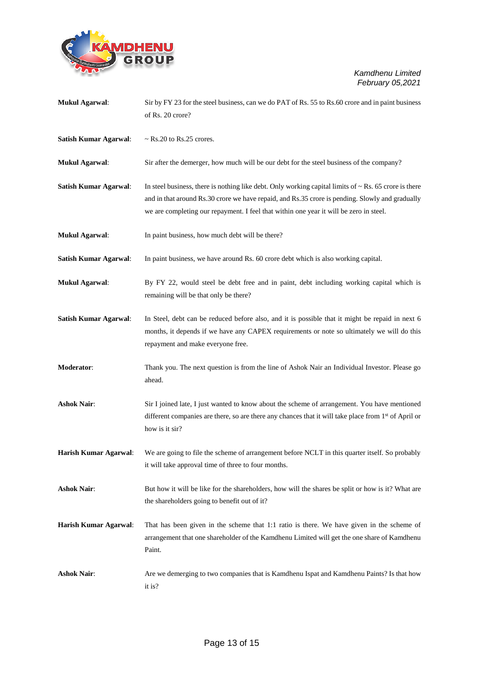

| <b>Mukul Agarwal:</b>        | Sir by FY 23 for the steel business, can we do PAT of Rs. 55 to Rs. 60 crore and in paint business               |
|------------------------------|------------------------------------------------------------------------------------------------------------------|
|                              | of Rs. 20 crore?                                                                                                 |
|                              |                                                                                                                  |
| <b>Satish Kumar Agarwal:</b> | $\sim$ Rs.20 to Rs.25 crores.                                                                                    |
|                              |                                                                                                                  |
| <b>Mukul Agarwal:</b>        | Sir after the demerger, how much will be our debt for the steel business of the company?                         |
| <b>Satish Kumar Agarwal:</b> | In steel business, there is nothing like debt. Only working capital limits of $\sim$ Rs. 65 crore is there       |
|                              | and in that around Rs.30 crore we have repaid, and Rs.35 crore is pending. Slowly and gradually                  |
|                              | we are completing our repayment. I feel that within one year it will be zero in steel.                           |
|                              |                                                                                                                  |
| <b>Mukul Agarwal:</b>        | In paint business, how much debt will be there?                                                                  |
|                              |                                                                                                                  |
| <b>Satish Kumar Agarwal:</b> | In paint business, we have around Rs. 60 crore debt which is also working capital.                               |
|                              |                                                                                                                  |
| <b>Mukul Agarwal:</b>        | By FY 22, would steel be debt free and in paint, debt including working capital which is                         |
|                              | remaining will be that only be there?                                                                            |
| <b>Satish Kumar Agarwal:</b> | In Steel, debt can be reduced before also, and it is possible that it might be repaid in next 6                  |
|                              | months, it depends if we have any CAPEX requirements or note so ultimately we will do this                       |
|                              | repayment and make everyone free.                                                                                |
|                              |                                                                                                                  |
|                              |                                                                                                                  |
| Moderator:                   | Thank you. The next question is from the line of Ashok Nair an Individual Investor. Please go                    |
|                              | ahead.                                                                                                           |
|                              |                                                                                                                  |
| <b>Ashok Nair:</b>           | Sir I joined late, I just wanted to know about the scheme of arrangement. You have mentioned                     |
|                              | different companies are there, so are there any chances that it will take place from 1 <sup>st</sup> of April or |
|                              | how is it sir?                                                                                                   |
|                              |                                                                                                                  |
| Harish Kumar Agarwal:        | We are going to file the scheme of arrangement before NCLT in this quarter itself. So probably                   |
|                              | it will take approval time of three to four months.                                                              |
| <b>Ashok Nair:</b>           | But how it will be like for the shareholders, how will the shares be split or how is it? What are                |
|                              | the shareholders going to benefit out of it?                                                                     |
|                              |                                                                                                                  |
| Harish Kumar Agarwal:        | That has been given in the scheme that 1:1 ratio is there. We have given in the scheme of                        |
|                              | arrangement that one shareholder of the Kamdhenu Limited will get the one share of Kamdhenu                      |
|                              | Paint.                                                                                                           |
| <b>Ashok Nair:</b>           | Are we demerging to two companies that is Kamdhenu Ispat and Kamdhenu Paints? Is that how                        |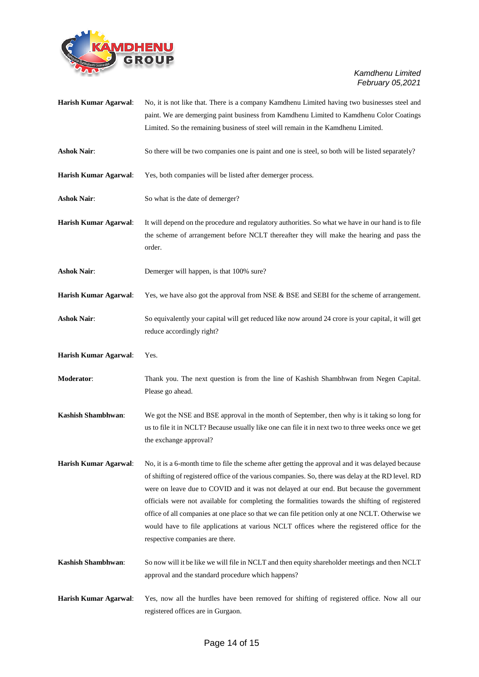

| <b>Harish Kumar Agarwal:</b> | No, it is not like that. There is a company Kamdhenu Limited having two businesses steel and                                                                                                                                                                                                                                                                                                                                                                                                                                                                                                                                                |
|------------------------------|---------------------------------------------------------------------------------------------------------------------------------------------------------------------------------------------------------------------------------------------------------------------------------------------------------------------------------------------------------------------------------------------------------------------------------------------------------------------------------------------------------------------------------------------------------------------------------------------------------------------------------------------|
|                              | paint. We are demerging paint business from Kamdhenu Limited to Kamdhenu Color Coatings                                                                                                                                                                                                                                                                                                                                                                                                                                                                                                                                                     |
|                              | Limited. So the remaining business of steel will remain in the Kamdhenu Limited.                                                                                                                                                                                                                                                                                                                                                                                                                                                                                                                                                            |
| <b>Ashok Nair:</b>           | So there will be two companies one is paint and one is steel, so both will be listed separately?                                                                                                                                                                                                                                                                                                                                                                                                                                                                                                                                            |
| Harish Kumar Agarwal:        | Yes, both companies will be listed after demerger process.                                                                                                                                                                                                                                                                                                                                                                                                                                                                                                                                                                                  |
| <b>Ashok Nair:</b>           | So what is the date of demerger?                                                                                                                                                                                                                                                                                                                                                                                                                                                                                                                                                                                                            |
| Harish Kumar Agarwal:        | It will depend on the procedure and regulatory authorities. So what we have in our hand is to file                                                                                                                                                                                                                                                                                                                                                                                                                                                                                                                                          |
|                              | the scheme of arrangement before NCLT thereafter they will make the hearing and pass the<br>order.                                                                                                                                                                                                                                                                                                                                                                                                                                                                                                                                          |
| <b>Ashok Nair:</b>           | Demerger will happen, is that 100% sure?                                                                                                                                                                                                                                                                                                                                                                                                                                                                                                                                                                                                    |
| Harish Kumar Agarwal:        | Yes, we have also got the approval from NSE & BSE and SEBI for the scheme of arrangement.                                                                                                                                                                                                                                                                                                                                                                                                                                                                                                                                                   |
| <b>Ashok Nair:</b>           | So equivalently your capital will get reduced like now around 24 crore is your capital, it will get<br>reduce accordingly right?                                                                                                                                                                                                                                                                                                                                                                                                                                                                                                            |
| Harish Kumar Agarwal:        | Yes.                                                                                                                                                                                                                                                                                                                                                                                                                                                                                                                                                                                                                                        |
| Moderator:                   | Thank you. The next question is from the line of Kashish Shambhwan from Negen Capital.<br>Please go ahead.                                                                                                                                                                                                                                                                                                                                                                                                                                                                                                                                  |
| Kashish Shambhwan:           | We got the NSE and BSE approval in the month of September, then why is it taking so long for<br>us to file it in NCLT? Because usually like one can file it in next two to three weeks once we get<br>the exchange approval?                                                                                                                                                                                                                                                                                                                                                                                                                |
| Harish Kumar Agarwal:        | No, it is a 6-month time to file the scheme after getting the approval and it was delayed because<br>of shifting of registered office of the various companies. So, there was delay at the RD level. RD<br>were on leave due to COVID and it was not delayed at our end. But because the government<br>officials were not available for completing the formalities towards the shifting of registered<br>office of all companies at one place so that we can file petition only at one NCLT. Otherwise we<br>would have to file applications at various NCLT offices where the registered office for the<br>respective companies are there. |
| Kashish Shambhwan:           | So now will it be like we will file in NCLT and then equity shareholder meetings and then NCLT<br>approval and the standard procedure which happens?                                                                                                                                                                                                                                                                                                                                                                                                                                                                                        |
| Harish Kumar Agarwal:        | Yes, now all the hurdles have been removed for shifting of registered office. Now all our<br>registered offices are in Gurgaon.                                                                                                                                                                                                                                                                                                                                                                                                                                                                                                             |